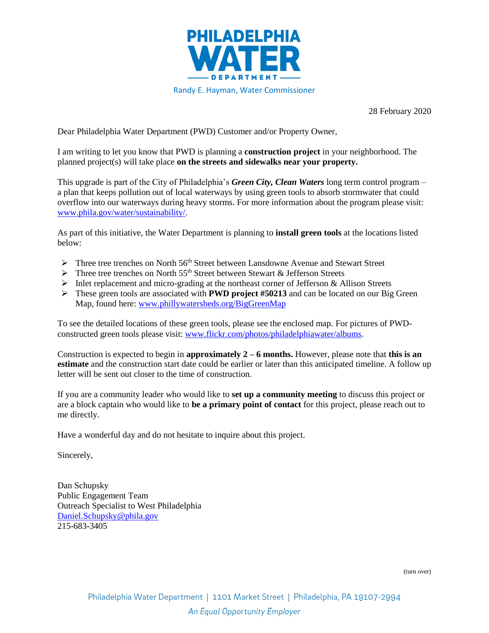

28 February 2020

Dear Philadelphia Water Department (PWD) Customer and/or Property Owner,

I am writing to let you know that PWD is planning a **construction project** in your neighborhood. The planned project(s) will take place **on the streets and sidewalks near your property.** 

This upgrade is part of the City of Philadelphia's *Green City, Clean Waters* long term control program – a plan that keeps pollution out of local waterways by using green tools to absorb stormwater that could overflow into our waterways during heavy storms. For more information about the program please visit: [www.phila.gov/water/sustainability/.](http://www.phila.gov/water/sustainability/)

As part of this initiative, the Water Department is planning to **install green tools** at the locations listed below:

- ➢ Three tree trenches on North 56th Street between Lansdowne Avenue and Stewart Street
- $\triangleright$  Three tree trenches on North 55<sup>th</sup> Street between Stewart & Jefferson Streets
- ➢ Inlet replacement and micro-grading at the northeast corner of Jefferson & Allison Streets
- ➢ These green tools are associated with **PWD project #50213** and can be located on our Big Green Map, found here: [www.phillywatersheds.org/BigGreenMap](http://www.phillywatersheds.org/BigGreenMap)

To see the detailed locations of these green tools, please see the enclosed map. For pictures of PWDconstructed green tools please visit: [www.flickr.com/photos/philadelphiawater/albums.](http://www.flickr.com/photos/philadelphiawater/albums)

Construction is expected to begin in **approximately 2 – 6 months.** However, please note that **this is an estimate** and the construction start date could be earlier or later than this anticipated timeline. A follow up letter will be sent out closer to the time of construction.

If you are a community leader who would like to **set up a community meeting** to discuss this project or are a block captain who would like to **be a primary point of contact** for this project, please reach out to me directly.

Have a wonderful day and do not hesitate to inquire about this project.

Sincerely,

Dan Schupsky Public Engagement Team Outreach Specialist to West Philadelphia [Daniel.Schupsky@phila.gov](mailto:Daniel.Schupsky@phila.gov) 215-683-3405